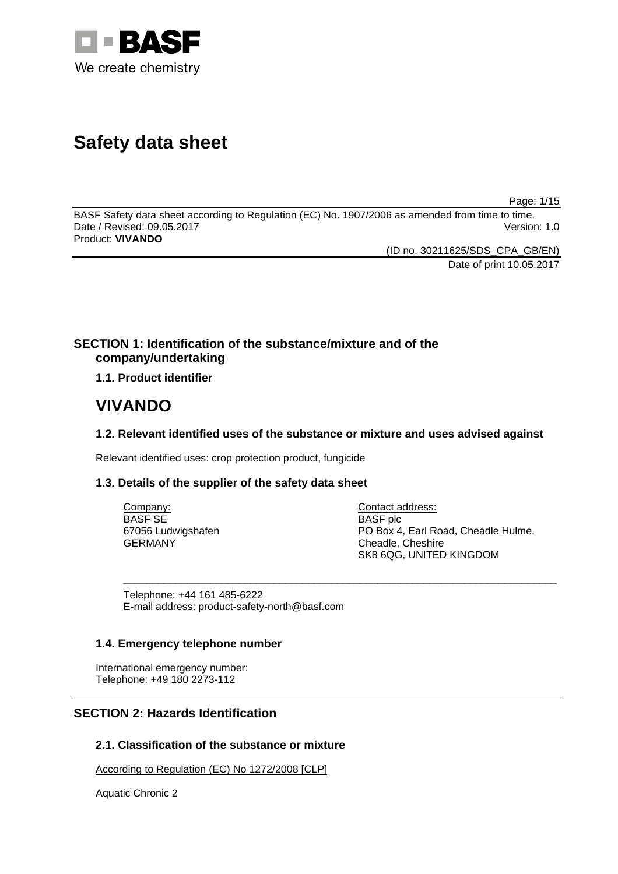

# **Safety data sheet**

Page: 1/15

BASF Safety data sheet according to Regulation (EC) No. 1907/2006 as amended from time to time. Date / Revised: 09.05.2017 Version: 1.0 Product: **VIVANDO** 

> (ID no. 30211625/SDS\_CPA\_GB/EN) Date of print 10.05.2017

# **SECTION 1: Identification of the substance/mixture and of the company/undertaking**

**1.1. Product identifier**

# **VIVANDO**

# **1.2. Relevant identified uses of the substance or mixture and uses advised against**

\_\_\_\_\_\_\_\_\_\_\_\_\_\_\_\_\_\_\_\_\_\_\_\_\_\_\_\_\_\_\_\_\_\_\_\_\_\_\_\_\_\_\_\_\_\_\_\_\_\_\_\_\_\_\_\_\_\_\_\_\_\_\_\_\_\_\_\_\_\_\_\_\_\_\_

Relevant identified uses: crop protection product, fungicide

# **1.3. Details of the supplier of the safety data sheet**

Company: BASF SE 67056 Ludwigshafen GERMANY

Contact address: BASF plc PO Box 4, Earl Road, Cheadle Hulme, Cheadle, Cheshire SK8 6QG, UNITED KINGDOM

Telephone: +44 161 485-6222 E-mail address: product-safety-north@basf.com

# **1.4. Emergency telephone number**

International emergency number: Telephone: +49 180 2273-112

# **SECTION 2: Hazards Identification**

# **2.1. Classification of the substance or mixture**

According to Regulation (EC) No 1272/2008 [CLP]

Aquatic Chronic 2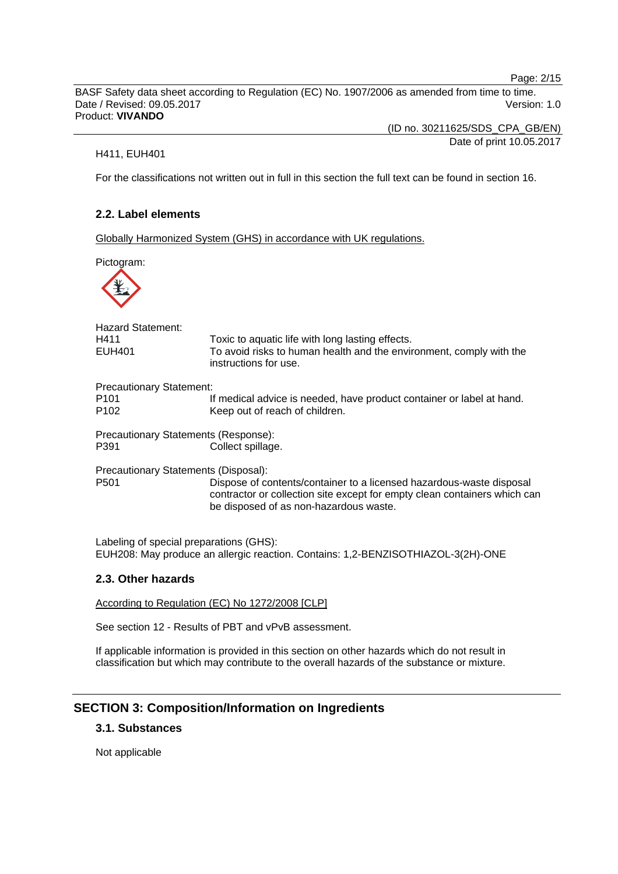Page: 2/15

BASF Safety data sheet according to Regulation (EC) No. 1907/2006 as amended from time to time. Date / Revised: 09.05.2017 Version: 1.0 Product: **VIVANDO** 

(ID no. 30211625/SDS\_CPA\_GB/EN)

Date of print 10.05.2017

H411, EUH401

For the classifications not written out in full in this section the full text can be found in section 16.

# **2.2. Label elements**

Globally Harmonized System (GHS) in accordance with UK regulations.

Pictogram:



| <b>Hazard Statement:</b><br>H411<br>EUH401                                                                                  | Toxic to aquatic life with long lasting effects.<br>To avoid risks to human health and the environment, comply with the<br>instructions for use.                                            |  |
|-----------------------------------------------------------------------------------------------------------------------------|---------------------------------------------------------------------------------------------------------------------------------------------------------------------------------------------|--|
| <b>Precautionary Statement:</b>                                                                                             |                                                                                                                                                                                             |  |
| P <sub>101</sub><br>P <sub>102</sub>                                                                                        | If medical advice is needed, have product container or label at hand.<br>Keep out of reach of children.                                                                                     |  |
| Precautionary Statements (Response):<br>P391                                                                                | Collect spillage.                                                                                                                                                                           |  |
| Precautionary Statements (Disposal):                                                                                        |                                                                                                                                                                                             |  |
| P <sub>501</sub>                                                                                                            | Dispose of contents/container to a licensed hazardous-waste disposal<br>contractor or collection site except for empty clean containers which can<br>be disposed of as non-hazardous waste. |  |
| Labeling of special preparations (GHS):<br>EUH208: May produce an allergic reaction. Contains: 1,2-BENZISOTHIAZOL-3(2H)-ONE |                                                                                                                                                                                             |  |

# **2.3. Other hazards**

According to Regulation (EC) No 1272/2008 [CLP]

See section 12 - Results of PBT and vPvB assessment.

If applicable information is provided in this section on other hazards which do not result in classification but which may contribute to the overall hazards of the substance or mixture.

# **SECTION 3: Composition/Information on Ingredients**

# **3.1. Substances**

Not applicable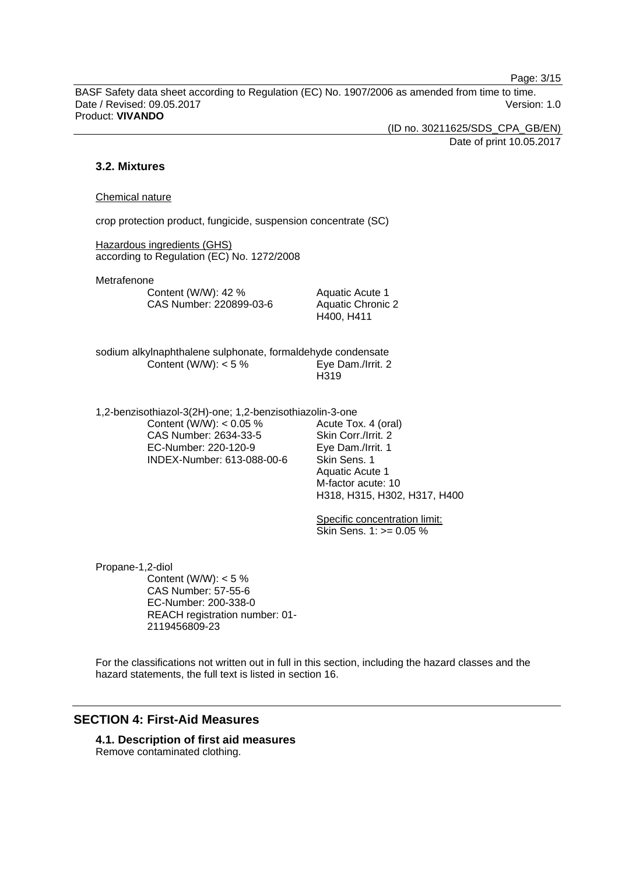Page: 3/15

BASF Safety data sheet according to Regulation (EC) No. 1907/2006 as amended from time to time. Date / Revised: 09.05.2017 Version: 1.0 Product: **VIVANDO** 

(ID no. 30211625/SDS\_CPA\_GB/EN)

Date of print 10.05.2017

# **3.2. Mixtures**

#### Chemical nature

crop protection product, fungicide, suspension concentrate (SC)

Hazardous ingredients (GHS) according to Regulation (EC) No. 1272/2008

Metrafenone

Content (W/W): 42 % CAS Number: 220899-03-6 Aquatic Acute 1 Aquatic Chronic 2 H400, H411

sodium alkylnaphthalene sulphonate, formaldehyde condensate Content (W/W):  $< 5 \%$  Eve Dam./Irrit. 2 H319

1,2-benzisothiazol-3(2H)-one; 1,2-benzisothiazolin-3-one Content (W/W):  $< 0.05$  % CAS Number: 2634-33-5 EC-Number: 220-120-9 INDEX-Number: 613-088-00-6

Acute Tox. 4 (oral) Skin Corr./Irrit. 2 Eye Dam./Irrit. 1 Skin Sens. 1 Aquatic Acute 1 M-factor acute: 10 H318, H315, H302, H317, H400

Specific concentration limit: Skin Sens.  $1: z = 0.05 \%$ 

Propane-1,2-diol Content (W/W):  $< 5 \%$ CAS Number: 57-55-6 EC-Number: 200-338-0 REACH registration number: 01- 2119456809-23

For the classifications not written out in full in this section, including the hazard classes and the hazard statements, the full text is listed in section 16.

# **SECTION 4: First-Aid Measures**

**4.1. Description of first aid measures**  Remove contaminated clothing.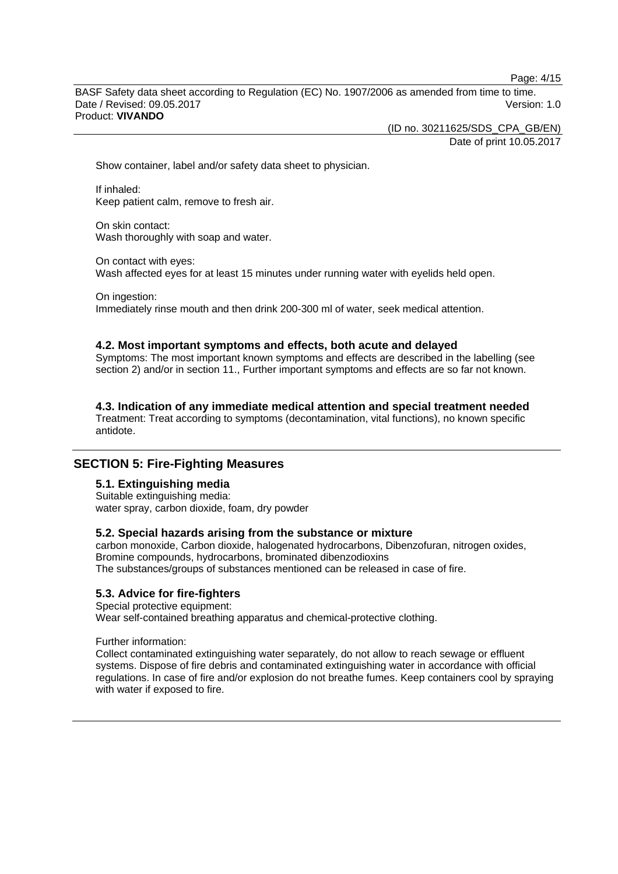Page: 4/15

BASF Safety data sheet according to Regulation (EC) No. 1907/2006 as amended from time to time. Date / Revised: 09.05.2017 **Version: 1.0** Product: **VIVANDO** 

(ID no. 30211625/SDS\_CPA\_GB/EN)

Date of print 10.05.2017

Show container, label and/or safety data sheet to physician.

If inhaled: Keep patient calm, remove to fresh air.

On skin contact: Wash thoroughly with soap and water.

On contact with eyes: Wash affected eyes for at least 15 minutes under running water with eyelids held open.

On ingestion: Immediately rinse mouth and then drink 200-300 ml of water, seek medical attention.

### **4.2. Most important symptoms and effects, both acute and delayed**

Symptoms: The most important known symptoms and effects are described in the labelling (see section 2) and/or in section 11., Further important symptoms and effects are so far not known.

**4.3. Indication of any immediate medical attention and special treatment needed** 

Treatment: Treat according to symptoms (decontamination, vital functions), no known specific antidote.

# **SECTION 5: Fire-Fighting Measures**

# **5.1. Extinguishing media**

Suitable extinguishing media: water spray, carbon dioxide, foam, dry powder

# **5.2. Special hazards arising from the substance or mixture**

carbon monoxide, Carbon dioxide, halogenated hydrocarbons, Dibenzofuran, nitrogen oxides, Bromine compounds, hydrocarbons, brominated dibenzodioxins The substances/groups of substances mentioned can be released in case of fire.

# **5.3. Advice for fire-fighters**

Special protective equipment: Wear self-contained breathing apparatus and chemical-protective clothing.

Further information:

Collect contaminated extinguishing water separately, do not allow to reach sewage or effluent systems. Dispose of fire debris and contaminated extinguishing water in accordance with official regulations. In case of fire and/or explosion do not breathe fumes. Keep containers cool by spraying with water if exposed to fire.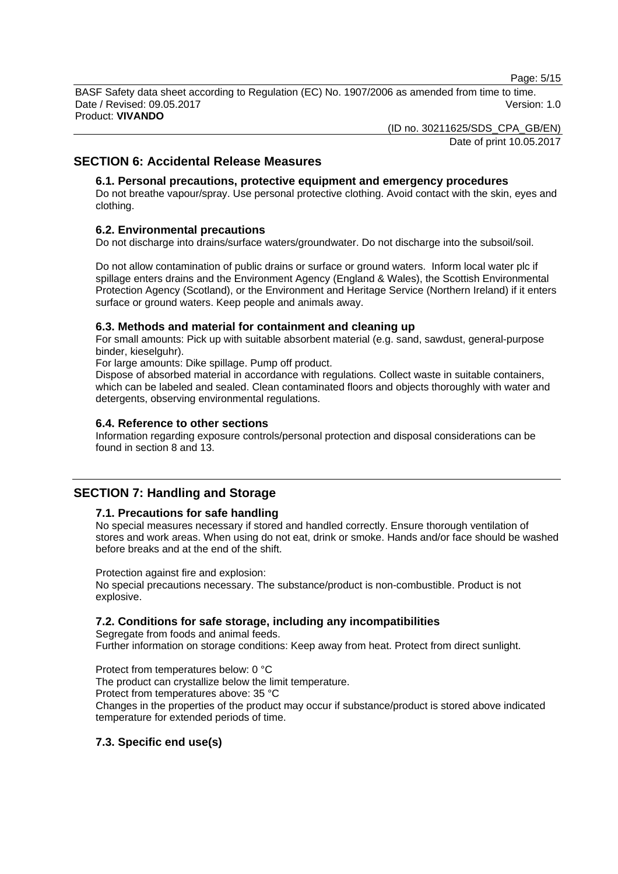Page: 5/15

BASF Safety data sheet according to Regulation (EC) No. 1907/2006 as amended from time to time. Date / Revised: 09.05.2017 **Version: 1.0** Product: **VIVANDO** 

(ID no. 30211625/SDS\_CPA\_GB/EN)

Date of print 10.05.2017

# **SECTION 6: Accidental Release Measures**

# **6.1. Personal precautions, protective equipment and emergency procedures**

Do not breathe vapour/spray. Use personal protective clothing. Avoid contact with the skin, eyes and clothing.

# **6.2. Environmental precautions**

Do not discharge into drains/surface waters/groundwater. Do not discharge into the subsoil/soil.

Do not allow contamination of public drains or surface or ground waters. Inform local water plc if spillage enters drains and the Environment Agency (England & Wales), the Scottish Environmental Protection Agency (Scotland), or the Environment and Heritage Service (Northern Ireland) if it enters surface or ground waters. Keep people and animals away.

### **6.3. Methods and material for containment and cleaning up**

For small amounts: Pick up with suitable absorbent material (e.g. sand, sawdust, general-purpose binder, kieselguhr).

For large amounts: Dike spillage. Pump off product.

Dispose of absorbed material in accordance with regulations. Collect waste in suitable containers, which can be labeled and sealed. Clean contaminated floors and objects thoroughly with water and detergents, observing environmental regulations.

### **6.4. Reference to other sections**

Information regarding exposure controls/personal protection and disposal considerations can be found in section 8 and 13.

# **SECTION 7: Handling and Storage**

# **7.1. Precautions for safe handling**

No special measures necessary if stored and handled correctly. Ensure thorough ventilation of stores and work areas. When using do not eat, drink or smoke. Hands and/or face should be washed before breaks and at the end of the shift.

Protection against fire and explosion:

No special precautions necessary. The substance/product is non-combustible. Product is not explosive.

# **7.2. Conditions for safe storage, including any incompatibilities**

Segregate from foods and animal feeds. Further information on storage conditions: Keep away from heat. Protect from direct sunlight.

Protect from temperatures below: 0 °C The product can crystallize below the limit temperature. Protect from temperatures above: 35 °C Changes in the properties of the product may occur if substance/product is stored above indicated temperature for extended periods of time.

# **7.3. Specific end use(s)**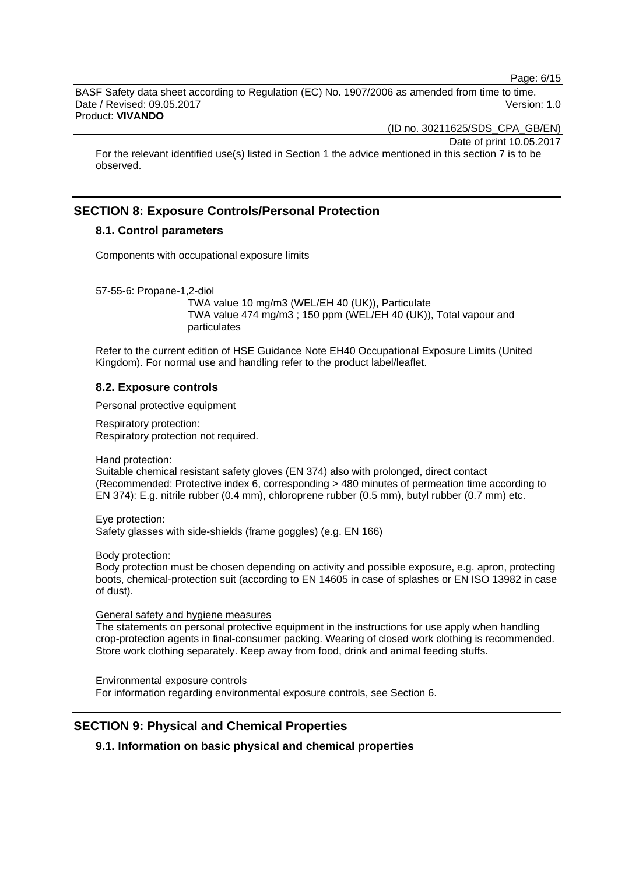Page: 6/15

BASF Safety data sheet according to Regulation (EC) No. 1907/2006 as amended from time to time. Date / Revised: 09.05.2017 Version: 1.0 Product: **VIVANDO** 

(ID no. 30211625/SDS\_CPA\_GB/EN)

Date of print 10.05.2017

For the relevant identified use(s) listed in Section 1 the advice mentioned in this section 7 is to be observed.

# **SECTION 8: Exposure Controls/Personal Protection**

# **8.1. Control parameters**

Components with occupational exposure limits

57-55-6: Propane-1,2-diol

 TWA value 10 mg/m3 (WEL/EH 40 (UK)), Particulate TWA value 474 mg/m3 ; 150 ppm (WEL/EH 40 (UK)), Total vapour and particulates

Refer to the current edition of HSE Guidance Note EH40 Occupational Exposure Limits (United Kingdom). For normal use and handling refer to the product label/leaflet.

# **8.2. Exposure controls**

Personal protective equipment

Respiratory protection: Respiratory protection not required.

Hand protection:

Suitable chemical resistant safety gloves (EN 374) also with prolonged, direct contact (Recommended: Protective index 6, corresponding > 480 minutes of permeation time according to EN 374): E.g. nitrile rubber (0.4 mm), chloroprene rubber (0.5 mm), butyl rubber (0.7 mm) etc.

Eye protection: Safety glasses with side-shields (frame goggles) (e.g. EN 166)

Body protection:

Body protection must be chosen depending on activity and possible exposure, e.g. apron, protecting boots, chemical-protection suit (according to EN 14605 in case of splashes or EN ISO 13982 in case of dust).

#### General safety and hygiene measures

The statements on personal protective equipment in the instructions for use apply when handling crop-protection agents in final-consumer packing. Wearing of closed work clothing is recommended. Store work clothing separately. Keep away from food, drink and animal feeding stuffs.

Environmental exposure controls For information regarding environmental exposure controls, see Section 6.

# **SECTION 9: Physical and Chemical Properties**

**9.1. Information on basic physical and chemical properties**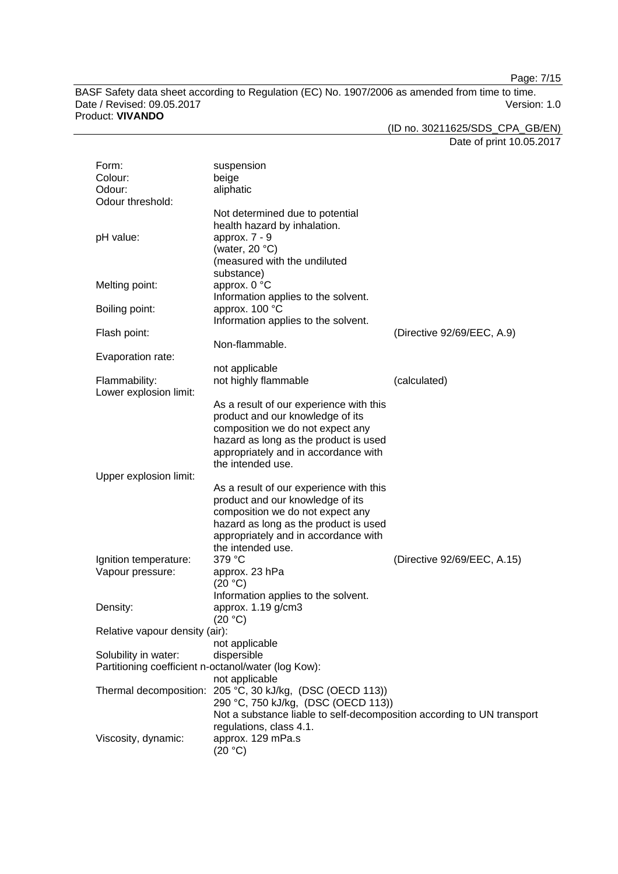Page: 7/15

BASF Safety data sheet according to Regulation (EC) No. 1907/2006 as amended from time to time. Date / Revised: 09.05.2017 Version: 1.0 Product: **VIVANDO** 

(ID no. 30211625/SDS\_CPA\_GB/EN)

Date of print 10.05.2017

| Form:                          | suspension                                                             |                             |
|--------------------------------|------------------------------------------------------------------------|-----------------------------|
| Colour:                        | beige                                                                  |                             |
| Odour:                         | aliphatic                                                              |                             |
| Odour threshold:               |                                                                        |                             |
|                                | Not determined due to potential                                        |                             |
|                                | health hazard by inhalation.                                           |                             |
| pH value:                      | approx. 7 - 9                                                          |                             |
|                                | (water, $20 °C$ )                                                      |                             |
|                                | (measured with the undiluted                                           |                             |
|                                | substance)                                                             |                             |
| Melting point:                 | approx. 0 °C                                                           |                             |
|                                | Information applies to the solvent.                                    |                             |
| Boiling point:                 | approx. 100 °C                                                         |                             |
|                                | Information applies to the solvent.                                    |                             |
| Flash point:                   |                                                                        | (Directive 92/69/EEC, A.9)  |
|                                | Non-flammable.                                                         |                             |
| Evaporation rate:              |                                                                        |                             |
|                                | not applicable                                                         |                             |
| Flammability:                  | not highly flammable                                                   | (calculated)                |
| Lower explosion limit:         |                                                                        |                             |
|                                | As a result of our experience with this                                |                             |
|                                | product and our knowledge of its                                       |                             |
|                                | composition we do not expect any                                       |                             |
|                                | hazard as long as the product is used                                  |                             |
|                                | appropriately and in accordance with                                   |                             |
|                                | the intended use.                                                      |                             |
| Upper explosion limit:         |                                                                        |                             |
|                                | As a result of our experience with this                                |                             |
|                                | product and our knowledge of its                                       |                             |
|                                | composition we do not expect any                                       |                             |
|                                | hazard as long as the product is used                                  |                             |
|                                | appropriately and in accordance with                                   |                             |
|                                | the intended use.                                                      |                             |
| Ignition temperature:          | 379 °C                                                                 | (Directive 92/69/EEC, A.15) |
| Vapour pressure:               | approx. 23 hPa                                                         |                             |
|                                | (20 °C)                                                                |                             |
|                                | Information applies to the solvent.                                    |                             |
| Density:                       | approx. 1.19 g/cm3                                                     |                             |
|                                | (20 °C)                                                                |                             |
| Relative vapour density (air): |                                                                        |                             |
|                                | not applicable                                                         |                             |
| Solubility in water:           | dispersible                                                            |                             |
|                                | Partitioning coefficient n-octanol/water (log Kow):                    |                             |
|                                | not applicable                                                         |                             |
|                                | Thermal decomposition: 205 °C, 30 kJ/kg, (DSC (OECD 113))              |                             |
|                                | 290 °C, 750 kJ/kg, (DSC (OECD 113))                                    |                             |
|                                | Not a substance liable to self-decomposition according to UN transport |                             |
|                                | regulations, class 4.1.                                                |                             |
| Viscosity, dynamic:            | approx. 129 mPa.s                                                      |                             |
|                                | (20 °C)                                                                |                             |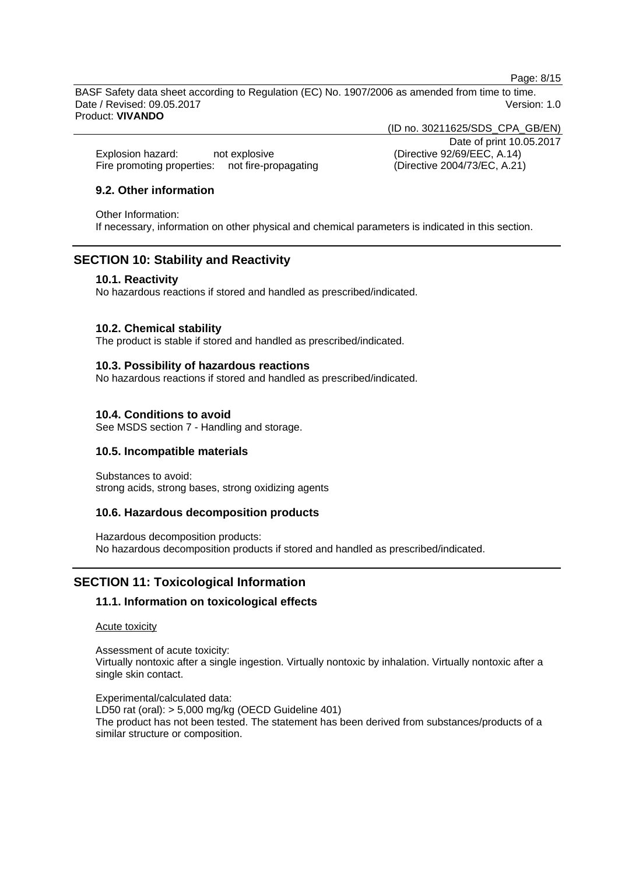Page: 8/15

BASF Safety data sheet according to Regulation (EC) No. 1907/2006 as amended from time to time. Date / Revised: 09.05.2017 **Version: 1.0** 

Product: **VIVANDO** 

(ID no. 30211625/SDS\_CPA\_GB/EN)

Explosion hazard: not explosive (Directive 92/69/EEC, A.14) Fire promoting properties: not fire-propagating (Directive 2004/73/EC, A.21)

Date of print 10.05.2017

# **9.2. Other information**

Other Information:

If necessary, information on other physical and chemical parameters is indicated in this section.

# **SECTION 10: Stability and Reactivity**

#### **10.1. Reactivity**

No hazardous reactions if stored and handled as prescribed/indicated.

### **10.2. Chemical stability**

The product is stable if stored and handled as prescribed/indicated.

### **10.3. Possibility of hazardous reactions**

No hazardous reactions if stored and handled as prescribed/indicated.

# **10.4. Conditions to avoid**

See MSDS section 7 - Handling and storage.

# **10.5. Incompatible materials**

Substances to avoid: strong acids, strong bases, strong oxidizing agents

# **10.6. Hazardous decomposition products**

Hazardous decomposition products: No hazardous decomposition products if stored and handled as prescribed/indicated.

# **SECTION 11: Toxicological Information**

# **11.1. Information on toxicological effects**

#### Acute toxicity

Assessment of acute toxicity: Virtually nontoxic after a single ingestion. Virtually nontoxic by inhalation. Virtually nontoxic after a single skin contact.

Experimental/calculated data: LD50 rat (oral): > 5,000 mg/kg (OECD Guideline 401) The product has not been tested. The statement has been derived from substances/products of a similar structure or composition.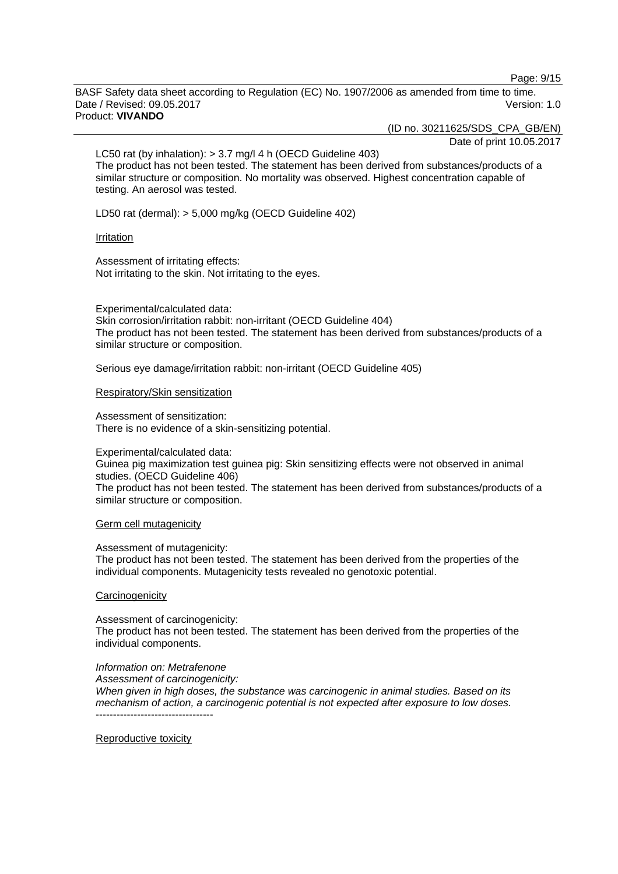Page: 9/15

BASF Safety data sheet according to Regulation (EC) No. 1907/2006 as amended from time to time. Date / Revised: 09.05.2017 **Version: 1.0** Product: **VIVANDO** 

(ID no. 30211625/SDS\_CPA\_GB/EN)

Date of print 10.05.2017

LC50 rat (by inhalation): > 3.7 mg/l 4 h (OECD Guideline 403) The product has not been tested. The statement has been derived from substances/products of a similar structure or composition. No mortality was observed. Highest concentration capable of testing. An aerosol was tested.

LD50 rat (dermal): > 5,000 mg/kg (OECD Guideline 402)

#### Irritation

Assessment of irritating effects: Not irritating to the skin. Not irritating to the eyes.

Experimental/calculated data:

Skin corrosion/irritation rabbit: non-irritant (OECD Guideline 404) The product has not been tested. The statement has been derived from substances/products of a similar structure or composition.

Serious eye damage/irritation rabbit: non-irritant (OECD Guideline 405)

#### Respiratory/Skin sensitization

Assessment of sensitization: There is no evidence of a skin-sensitizing potential.

Experimental/calculated data:

Guinea pig maximization test guinea pig: Skin sensitizing effects were not observed in animal studies. (OECD Guideline 406) The product has not been tested. The statement has been derived from substances/products of a similar structure or composition.

#### Germ cell mutagenicity

Assessment of mutagenicity:

The product has not been tested. The statement has been derived from the properties of the individual components. Mutagenicity tests revealed no genotoxic potential.

#### **Carcinogenicity**

Assessment of carcinogenicity:

The product has not been tested. The statement has been derived from the properties of the individual components.

*Information on: Metrafenone*

*Assessment of carcinogenicity:* 

*When given in high doses, the substance was carcinogenic in animal studies. Based on its mechanism of action, a carcinogenic potential is not expected after exposure to low doses.*  ----------------------------------

Reproductive toxicity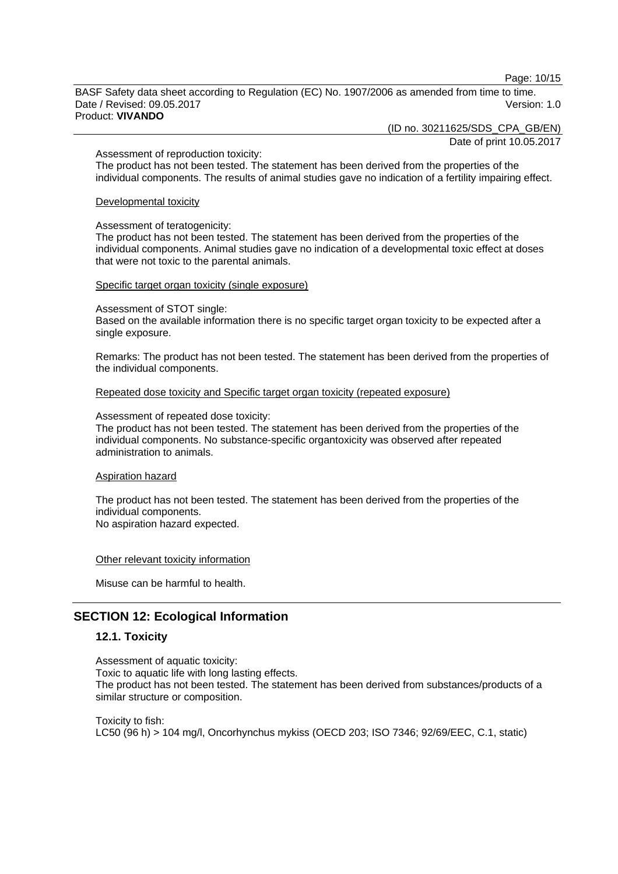Page: 10/15

BASF Safety data sheet according to Regulation (EC) No. 1907/2006 as amended from time to time. Date / Revised: 09.05.2017 **Version: 1.0** Product: **VIVANDO** 

(ID no. 30211625/SDS\_CPA\_GB/EN)

Date of print 10.05.2017

#### Assessment of reproduction toxicity:

The product has not been tested. The statement has been derived from the properties of the individual components. The results of animal studies gave no indication of a fertility impairing effect.

#### Developmental toxicity

#### Assessment of teratogenicity:

The product has not been tested. The statement has been derived from the properties of the individual components. Animal studies gave no indication of a developmental toxic effect at doses that were not toxic to the parental animals.

#### Specific target organ toxicity (single exposure)

Assessment of STOT single:

Based on the available information there is no specific target organ toxicity to be expected after a single exposure.

Remarks: The product has not been tested. The statement has been derived from the properties of the individual components.

#### Repeated dose toxicity and Specific target organ toxicity (repeated exposure)

Assessment of repeated dose toxicity:

The product has not been tested. The statement has been derived from the properties of the individual components. No substance-specific organtoxicity was observed after repeated administration to animals.

#### Aspiration hazard

The product has not been tested. The statement has been derived from the properties of the individual components. No aspiration hazard expected.

Other relevant toxicity information

Misuse can be harmful to health.

# **SECTION 12: Ecological Information**

### **12.1. Toxicity**

Assessment of aquatic toxicity: Toxic to aquatic life with long lasting effects. The product has not been tested. The statement has been derived from substances/products of a similar structure or composition.

Toxicity to fish: LC50 (96 h) > 104 mg/l, Oncorhynchus mykiss (OECD 203; ISO 7346; 92/69/EEC, C.1, static)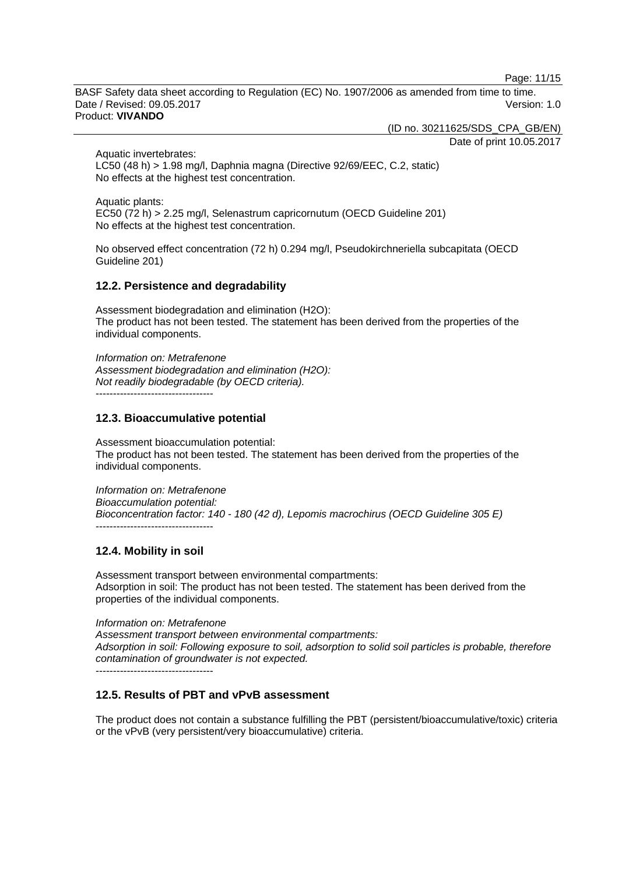Page: 11/15

BASF Safety data sheet according to Regulation (EC) No. 1907/2006 as amended from time to time. Date / Revised: 09.05.2017 **Version: 1.0** Product: **VIVANDO** 

(ID no. 30211625/SDS\_CPA\_GB/EN)

Date of print 10.05.2017

Aquatic invertebrates: LC50 (48 h) > 1.98 mg/l, Daphnia magna (Directive 92/69/EEC, C.2, static) No effects at the highest test concentration.

Aquatic plants: EC50 (72 h) > 2.25 mg/l, Selenastrum capricornutum (OECD Guideline 201) No effects at the highest test concentration.

No observed effect concentration (72 h) 0.294 mg/l, Pseudokirchneriella subcapitata (OECD Guideline 201)

# **12.2. Persistence and degradability**

Assessment biodegradation and elimination (H2O): The product has not been tested. The statement has been derived from the properties of the individual components.

*Information on: Metrafenone Assessment biodegradation and elimination (H2O): Not readily biodegradable (by OECD criteria).*  ----------------------------------

### **12.3. Bioaccumulative potential**

Assessment bioaccumulation potential: The product has not been tested. The statement has been derived from the properties of the individual components.

*Information on: Metrafenone Bioaccumulation potential: Bioconcentration factor: 140 - 180 (42 d), Lepomis macrochirus (OECD Guideline 305 E)*  ----------------------------------

# **12.4. Mobility in soil**

Assessment transport between environmental compartments: Adsorption in soil: The product has not been tested. The statement has been derived from the properties of the individual components.

*Information on: Metrafenone Assessment transport between environmental compartments: Adsorption in soil: Following exposure to soil, adsorption to solid soil particles is probable, therefore contamination of groundwater is not expected.* ----------------------------------

# **12.5. Results of PBT and vPvB assessment**

The product does not contain a substance fulfilling the PBT (persistent/bioaccumulative/toxic) criteria or the vPvB (very persistent/very bioaccumulative) criteria.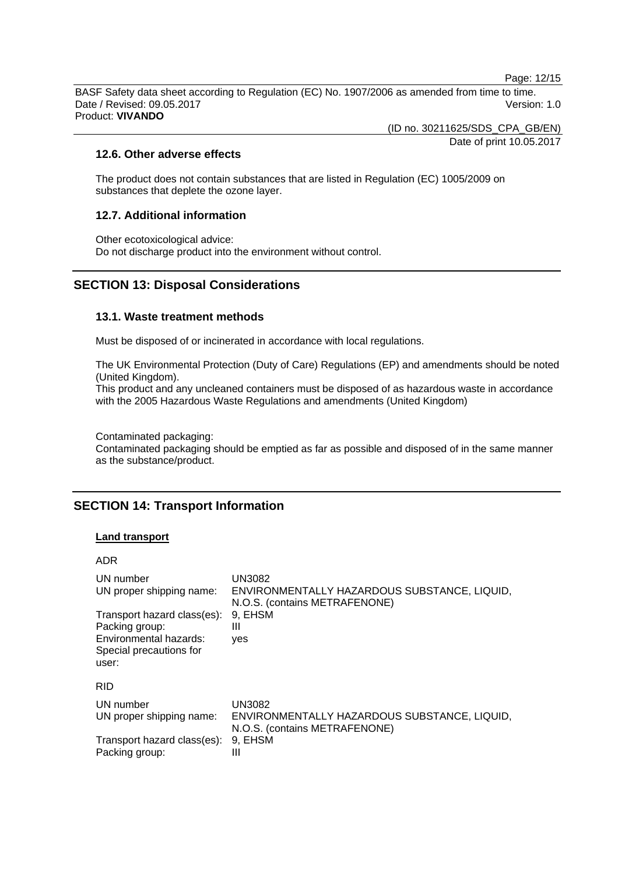Page: 12/15

BASF Safety data sheet according to Regulation (EC) No. 1907/2006 as amended from time to time. Date / Revised: 09.05.2017 Version: 1.0 Product: **VIVANDO** 

(ID no. 30211625/SDS\_CPA\_GB/EN)

Date of print 10.05.2017

### **12.6. Other adverse effects**

The product does not contain substances that are listed in Regulation (EC) 1005/2009 on substances that deplete the ozone layer.

### **12.7. Additional information**

Other ecotoxicological advice: Do not discharge product into the environment without control.

# **SECTION 13: Disposal Considerations**

# **13.1. Waste treatment methods**

Must be disposed of or incinerated in accordance with local regulations.

The UK Environmental Protection (Duty of Care) Regulations (EP) and amendments should be noted (United Kingdom).

This product and any uncleaned containers must be disposed of as hazardous waste in accordance with the 2005 Hazardous Waste Regulations and amendments (United Kingdom)

Contaminated packaging:

Contaminated packaging should be emptied as far as possible and disposed of in the same manner as the substance/product.

# **SECTION 14: Transport Information**

#### **Land transport**

#### ADR

| UN number<br>UN proper shipping name:<br>Transport hazard class(es):<br>Packing group:<br>Environmental hazards:<br>Special precautions for<br>user: | UN3082<br>ENVIRONMENTALLY HAZARDOUS SUBSTANCE, LIQUID,<br>N.O.S. (contains METRAFENONE)<br>9, EHSM<br>Ш<br>yes |
|------------------------------------------------------------------------------------------------------------------------------------------------------|----------------------------------------------------------------------------------------------------------------|
| <b>RID</b>                                                                                                                                           |                                                                                                                |
| UN number<br>UN proper shipping name:                                                                                                                | UN3082<br>ENVIRONMENTALLY HAZARDOUS SUBSTANCE, LIQUID,<br>N.O.S. (contains METRAFENONE)                        |
| Transport hazard class(es):<br>Packing group:                                                                                                        | 9, EHSM<br>Ш                                                                                                   |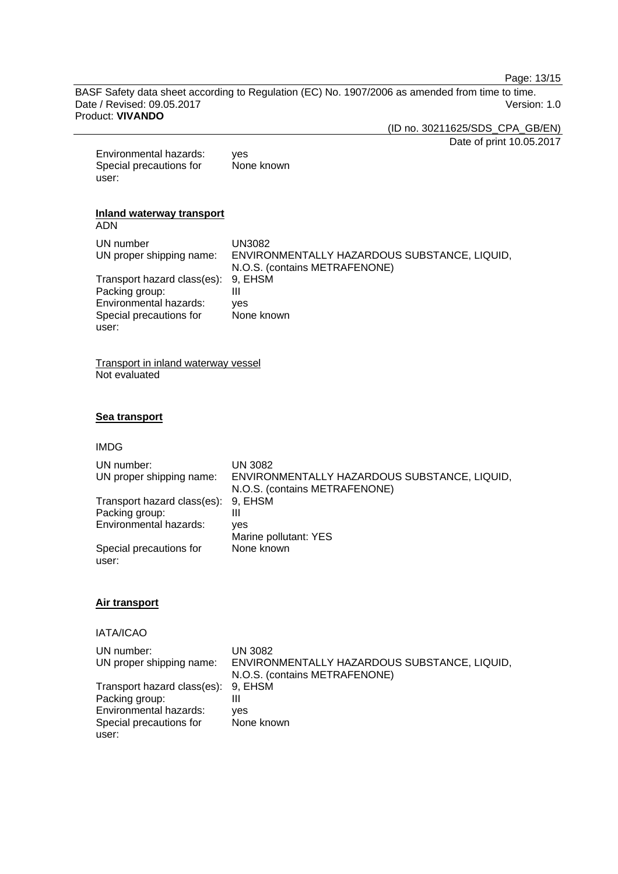Page: 13/15

BASF Safety data sheet according to Regulation (EC) No. 1907/2006 as amended from time to time. Date / Revised: 09.05.2017 **Version: 1.0** Product: **VIVANDO** 

(ID no. 30211625/SDS\_CPA\_GB/EN)

Date of print 10.05.2017

Environmental hazards: yes Special precautions for user: None known

# **Inland waterway transport**

ADN

| UN number                           | UN3082                                       |
|-------------------------------------|----------------------------------------------|
| UN proper shipping name:            | ENVIRONMENTALLY HAZARDOUS SUBSTANCE, LIQUID, |
|                                     | N.O.S. (contains METRAFENONE)                |
| Transport hazard class(es): 9, EHSM |                                              |
| Packing group:                      | Ш                                            |
| Environmental hazards:              | ves                                          |
| Special precautions for             | None known                                   |
| user:                               |                                              |

Transport in inland waterway vessel Not evaluated

# **Sea transport**

#### IMDG

| UN number:<br>UN proper shipping name:        | UN 3082<br>ENVIRONMENTALLY HAZARDOUS SUBSTANCE, LIQUID,<br>N.O.S. (contains METRAFENONE) |
|-----------------------------------------------|------------------------------------------------------------------------------------------|
| Transport hazard class(es):<br>Packing group: | 9. EHSM<br>Ш                                                                             |
| Environmental hazards:                        | yes<br>Marine pollutant: YES                                                             |
| Special precautions for<br>user:              | None known                                                                               |

#### **Air transport**

# IATA/ICAO

| UN number:                          | UN 3082                                      |
|-------------------------------------|----------------------------------------------|
| UN proper shipping name:            | ENVIRONMENTALLY HAZARDOUS SUBSTANCE, LIQUID, |
|                                     | N.O.S. (contains METRAFENONE)                |
| Transport hazard class(es): 9, EHSM |                                              |
| Packing group:                      |                                              |
| Environmental hazards:              | ves                                          |
| Special precautions for             | None known                                   |
| user:                               |                                              |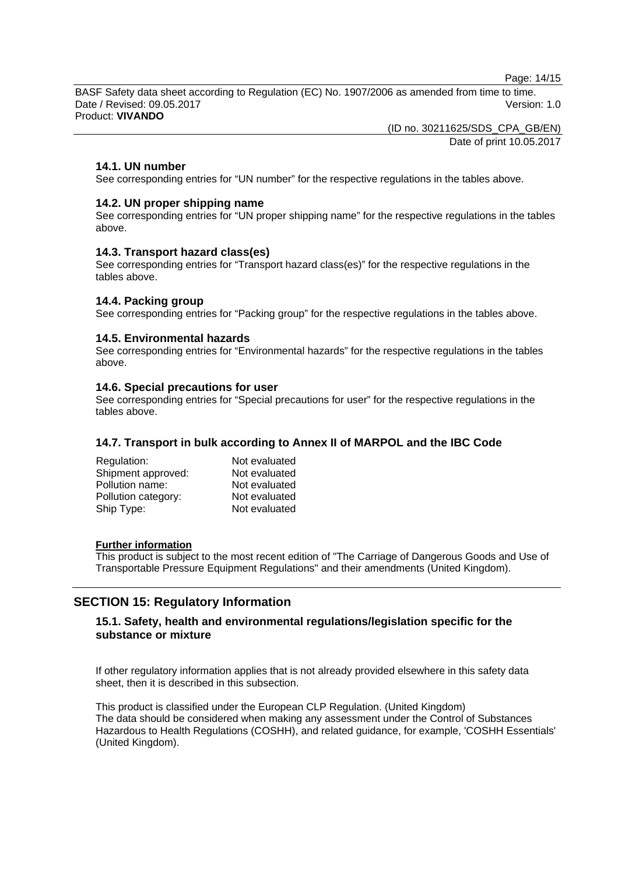Page: 14/15

BASF Safety data sheet according to Regulation (EC) No. 1907/2006 as amended from time to time. Date / Revised: 09.05.2017 **Version: 1.0** Product: **VIVANDO** 

(ID no. 30211625/SDS\_CPA\_GB/EN)

Date of print 10.05.2017

# **14.1. UN number**

See corresponding entries for "UN number" for the respective regulations in the tables above.

### **14.2. UN proper shipping name**

See corresponding entries for "UN proper shipping name" for the respective regulations in the tables above.

### **14.3. Transport hazard class(es)**

See corresponding entries for "Transport hazard class(es)" for the respective regulations in the tables above.

# **14.4. Packing group**

See corresponding entries for "Packing group" for the respective regulations in the tables above.

### **14.5. Environmental hazards**

See corresponding entries for "Environmental hazards" for the respective regulations in the tables above.

### **14.6. Special precautions for user**

See corresponding entries for "Special precautions for user" for the respective regulations in the tables above.

# **14.7. Transport in bulk according to Annex II of MARPOL and the IBC Code**

| Regulation:         | Not evaluated |
|---------------------|---------------|
| Shipment approved:  | Not evaluated |
| Pollution name:     | Not evaluated |
| Pollution category: | Not evaluated |
| Ship Type:          | Not evaluated |

#### **Further information**

This product is subject to the most recent edition of "The Carriage of Dangerous Goods and Use of Transportable Pressure Equipment Regulations" and their amendments (United Kingdom).

# **SECTION 15: Regulatory Information**

# **15.1. Safety, health and environmental regulations/legislation specific for the substance or mixture**

If other regulatory information applies that is not already provided elsewhere in this safety data sheet, then it is described in this subsection.

This product is classified under the European CLP Regulation. (United Kingdom) The data should be considered when making any assessment under the Control of Substances Hazardous to Health Regulations (COSHH), and related guidance, for example, 'COSHH Essentials' (United Kingdom).